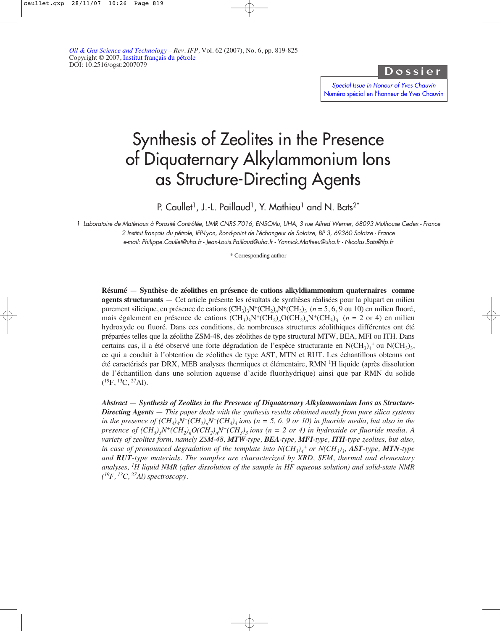Dossier

Special Issue in Honour of Yves Chauvin [Numéro spécial en l'honneur de Yves Chauvin](http://ogst.ifp.fr/index.php?option=toc&url=/articles/ogst/abs/2007/06/contents/contents.html)

# Synthesis of Zeolites in the Presence of Diquaternary Alkylammonium Ions as Structure-Directing Agents

P. Caullet<sup>1</sup>, J.-L. Paillaud<sup>1</sup>, Y. Mathieu<sup>1</sup> and N. Bats<sup>2\*</sup>

1 Laboratoire de Matériaux à Porosité Contrôlée, UMR CNRS 7016, ENSCMu, UHA, 3 rue Alfred Werner, 68093 Mulhouse Cedex - France 2 Institut français du pétrole, IFP-Lyon, Rond-point de l'échangeur de Solaize, BP 3, 69360 Solaize - France e-mail: Philippe.Caullet@uha.fr - Jean-Louis.Paillaud@uha.fr - Yannick.Mathieu@uha.fr - Nicolas.Bats@ifp.fr

\* Corresponding author

**Résumé** — **Synthèse de zéolithes en présence de cations alkyldiammonium quaternaires comme agents structurants** — Cet article présente les résultats de synthèses réalisées pour la plupart en milieu purement silicique, en présence de cations  $(CH_3)_2N^+(CH_2)_2N^+(CH_3)_3$  ( $n = 5, 6, 9$  ou 10) en milieu fluoré, mais également en présence de cations  $(CH_3)_3N^+(CH_2)_nO(CH_2)_nN^+(CH_3)_3$  ( $n = 2$  or 4) en milieu hydroxyde ou fluoré. Dans ces conditions, de nombreuses structures zéolithiques différentes ont été préparées telles que la zéolithe ZSM-48, des zéolithes de type structural MTW, BEA, MFI ou ITH. Dans certains cas, il a été observé une forte dégradation de l'espèce structurante en  $N(CH_3)_4^+$  ou  $N(CH_3)_3$ , ce qui a conduit à l'obtention de zéolithes de type AST, MTN et RUT. Les échantillons obtenus ont été caractérisés par DRX, MEB analyses thermiques et élémentaire, RMN 1H liquide (après dissolution de l'échantillon dans une solution aqueuse d'acide fluorhydrique) ainsi que par RMN du solide  $(^{19}F, ^{13}C, ^{27}Al).$ 

*Abstract* — *Synthesis of Zeolites in the Presence of Diquaternary Alkylammonium Ions as Structure-Directing Agents* — *This paper deals with the synthesis results obtained mostly from pure silica systems in the presence of*  $(CH_3)_3N^+(CH_2)_nN^+(CH_3)_3$  *ions (n = 5, 6, 9 or 10) in fluoride media, but also in the presence of*  $(CH_3)_N^+(CH_2)_nO(CH_2)_nN^+(CH_3)_3$  *ions (n = 2 or 4) in hydroxide or fluoride media. A variety of zeolites form, namely ZSM-48, MTW-type, BEA-type, MFI-type, ITH-type zeolites, but also, in case of pronounced degradation of the template into N(CH3)4 + or N(CH3)3, AST-type, MTN-type and RUT-type materials. The samples are characterized by XRD, SEM, thermal and elementary analyses, 1H liquid NMR (after dissolution of the sample in HF aqueous solution) and solid-state NMR ( 19F, 13C, 27Al) spectroscopy.*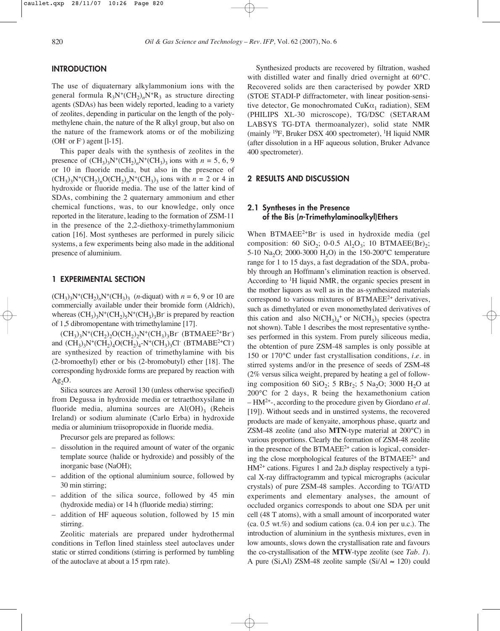## **INTRODUCTION**

The use of diquaternary alkylammonium ions with the general formula  $R_3N^+(CH_2)_nN^+R_3$  as structure directing agents (SDAs) has been widely reported, leading to a variety of zeolites, depending in particular on the length of the polymethylene chain, the nature of the R alkyl group, but also on the nature of the framework atoms or of the mobilizing  $(OH<sup>-</sup> or F<sup>-</sup>)$  agent [l-15].

This paper deals with the synthesis of zeolites in the presence of  $(CH_3)_3N^+(CH_2)_nN^+(CH_3)_3$  ions with  $n = 5, 6, 9$ or 10 in fluoride media, but also in the presence of  $(CH_3)_3N^+(CH_2)_nO(CH_2)_nN^+(CH_3)_3$  ions with  $n = 2$  or 4 in hydroxide or fluoride media. The use of the latter kind of SDAs, combining the 2 quaternary ammonium and ether chemical functions, was, to our knowledge, only once reported in the literature, leading to the formation of ZSM-11 in the presence of the 2,2-diethoxy-trimethylammonium cation [16]. Most syntheses are performed in purely silicic systems, a few experiments being also made in the additional presence of aluminium.

### **1 EXPERIMENTAL SECTION**

 $(CH_3)_3N^+(CH_2)_nN^+(CH_3)_3$  (*n*-diquat) with  $n = 6, 9$  or 10 are commercially available under their bromide form (Aldrich), whereas  $(CH_3)_3N^+(CH_2)_5N^+(CH_3)_3Br$  is prepared by reaction of 1,5 dibromopentane with trimethylamine [17].

 $(CH_3)_3N^+(CH_2)_2O(CH_2)_2N^+(CH_3)_3Br$  (BTMAEE<sup>2+</sup>Br) and  $(CH_3)_3N^+(CH_2)_4O(CH_2)_4-N^+(CH_3)_3Cl^-(BTMABE^{2+}Cl^-)$ are synthesized by reaction of trimethylamine with bis (2-bromoethyl) ether or bis (2-bromobutyl) ether [18]. The corresponding hydroxide forms are prepared by reaction with Ag2O.

Silica sources are Aerosil 130 (unless otherwise specified) from Degussa in hydroxide media or tetraethoxysilane in fluoride media, alumina sources are  $Al(OH)$ <sub>3</sub> (Reheis Ireland) or sodium aluminate (Carlo Erba) in hydroxide media or aluminium triisopropoxide in fluoride media.

Precursor gels are prepared as follows:

- dissolution in the required amount of water of the organic template source (halide or hydroxide) and possibly of the inorganic base (NaOH);
- addition of the optional aluminium source, followed by 30 min stirring;
- addition of the silica source, followed by 45 min (hydroxide media) or 14 h (fluoride media) stirring;
- addition of HF aqueous solution, followed by 15 min stirring.

Zeolitic materials are prepared under hydrothermal conditions in Teflon lined stainless steel autoclaves under static or stirred conditions (stirring is performed by tumbling of the autoclave at about a 15 rpm rate).

Synthesized products are recovered by filtration, washed with distilled water and finally dried overnight at 60°C. Recovered solids are then caracterised by powder XRD (STOE STADI-P diffractometer, with linear position-sensitive detector, Ge monochromated CuK $\alpha_1$  radiation), SEM (PHILIPS XL-30 microscope), TG/DSC (SETARAM LABSYS TG-DTA thermoanalyzer), solid state NMR (mainly  $^{19}$ F, Bruker DSX 400 spectrometer), <sup>1</sup>H liquid NMR (after dissolution in a HF aqueous solution, Bruker Advance 400 spectrometer).

#### **2 RESULTS AND DISCUSSION**

# **2.1 Syntheses in the Presence of the Bis (n-Trimethylaminoalkyl)Ethers**

When  $BTMAEE^{2+}Br$  is used in hydroxide media (gel composition: 60 SiO<sub>2</sub>; 0-0.5 Al<sub>2</sub>O<sub>3</sub>; 10 BTMAEE(Br)<sub>2</sub>; 5-10 Na<sub>2</sub>O; 2000-3000 H<sub>2</sub>O) in the 150-200°C temperature range for 1 to 15 days, a fast degradation of the SDA, probably through an Hoffmann's elimination reaction is observed. According to <sup>1</sup>H liquid NMR, the organic species present in the mother liquors as well as in the as-synthesized materials correspond to various mixtures of  $BTMAEE^{2+}$  derivatives, such as dimethylated or even monomethylated derivatives of this cation and also  $N(CH_3)_4^+$  or  $N(CH_3)_3$  species (spectra not shown). Table 1 describes the most representative syntheses performed in this system. From purely siliceous media, the obtention of pure ZSM-48 samples is only possible at 150 or 170°C under fast crystallisation conditions, *i*.*e*. in stirred systems and/or in the presence of seeds of ZSM-48 (2% versus silica weight, prepared by heating a gel of following composition 60 SiO<sub>2</sub>; 5 RBr<sub>2</sub>; 5 Na<sub>2</sub>O; 3000 H<sub>2</sub>O at 200°C for 2 days, R being the hexamethonium cation – HM2+-, according to the procedure given by Giordano *et al.* [19]). Without seeds and in unstirred systems, the recovered products are made of kenyaite, amorphous phase, quartz and ZSM-48 zeolite (and also **MTN**-type material at 200°C) in various proportions. Clearly the formation of ZSM-48 zeolite in the presence of the BTMAE $E<sup>2+</sup>$  cation is logical, considering the close morphological features of the BTMAEE<sup>2+</sup> and  $HM<sup>2+</sup>$  cations. Figures 1 and 2a,b display respectively a typical X-ray diffractogramm and typical micrographs (acicular crystals) of pure ZSM-48 samples. According to TG/ATD experiments and elementary analyses, the amount of occluded organics corresponds to about one SDA per unit cell (48 T atoms), with a small amount of incorporated water (ca. 0.5 wt.%) and sodium cations (ca. 0.4 ion per u.c.). The introduction of aluminium in the synthesis mixtures, even in low amounts, slows down the crystallisation rate and favours the co-crystallisation of the **MTW**-type zeolite (see *Tab. 1*). A pure (Si,Al) ZSM-48 zeolite sample (Si/Al ≈ 120) could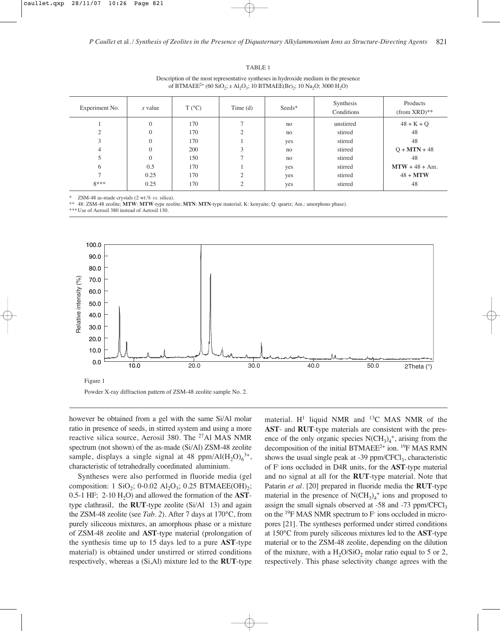| Experiment No. | $x$ value      | $T (^{\circ}C)$ | Time $(d)$    | Seeds* | Synthesis<br>Conditions | Products<br>$(from XRD)$ ** |
|----------------|----------------|-----------------|---------------|--------|-------------------------|-----------------------------|
|                | $\overline{0}$ | 170             |               | no     | unstirred               | $48 + K + Q$                |
|                | 0              | 170             | $\mathcal{L}$ | no     | stirred                 | 48                          |
|                | $\Omega$       | 170             |               | yes    | stirred                 | 48                          |
| 4              | $\Omega$       | 200             | 3             | no     | stirred                 | $Q + MTN + 48$              |
|                | $\Omega$       | 150             |               | no     | stirred                 | 48                          |
| 6              | 0.5            | 170             |               | yes    | stirred                 | $MTW + 48 + Am$ .           |
|                | 0.25           | 170             | $\bigcap$     | yes    | stirred                 | $48 + MTW$                  |
| $8***$         | 0.25           | 170             |               | yes    | stirred                 | 48                          |
|                |                |                 |               |        |                         |                             |

TABLE 1 Description of the most representative syntheses in hydroxide medium in the presence of BTMAEE<sup>2+</sup> (60 SiO<sub>2</sub>; *x* Al<sub>2</sub>O<sub>3</sub>; 10 BTMAEE(Br)<sub>2</sub>; 10 Na<sub>2</sub>O; 3000 H<sub>2</sub>O)

ZSM-48 as-made crystals (2 wt.% *vs.* silica).

\*\* 48: ZSM-48 zeolite; **MTW**: **MTW**-type zeolite; **MTN**: **MTN**-type material; K: kenyaite; Q: quartz; Am.: amorphous phase).

\*\*\*Use of Aerosil 380 instead of Aerosil 130.



however be obtained from a gel with the same Si/Al molar ratio in presence of seeds, in stirred system and using a more reactive silica source, Aerosil 380. The <sup>27</sup>Al MAS NMR spectrum (not shown) of the as-made (Si/Al) ZSM-48 zeolite sample, displays a single signal at 48 ppm/Al( $H_2O$ ) $_6^{3+}$ , characteristic of tetrahedrally coordinated aluminium.

Syntheses were also performed in fluoride media (gel composition: 1 SiO<sub>2</sub>; 0-0.02 Al<sub>2</sub>O<sub>3</sub>; 0.25 BTMAEE(OH)<sub>2</sub>; 0.5-1 HF; 2-10  $H<sub>2</sub>O$ ) and allowed the formation of the **AST**type clathrasil, the **RUT**-type zeolite (Si/Al 13) and again the ZSM-48 zeolite (see *Tab. 2*). After 7 days at 170°C, from purely siliceous mixtures, an amorphous phase or a mixture of ZSM-48 zeolite and **AST**-type material (prolongation of the synthesis time up to 15 days led to a pure **AST**-type material) is obtained under unstirred or stirred conditions respectively, whereas a (Si,Al) mixture led to the **RUT**-type material.  $H^1$  liquid NMR and  $^{13}C$  MAS NMR of the **AST**- and **RUT**-type materials are consistent with the presence of the only organic species  $N(CH_3)_4^+$ , arising from the decomposition of the initial BTMAEE<sup>2+</sup> ion. <sup>19</sup>F MAS RMN shows the usual single peak at  $-39$  ppm/CFCl<sub>3</sub>, characteristic of F- ions occluded in D4R units, for the **AST**-type material and no signal at all for the **RUT**-type material. Note that Patarin *et al.* [20] prepared in fluoride media the **RUT**-type material in the presence of  $N(CH_3)_4^+$  ions and proposed to assign the small signals observed at -58 and -73 ppm/CFCl<sub>3</sub> on the 19F MAS NMR spectrum to F- ions occluded in micropores [21]. The syntheses performed under stirred conditions at 150°C from purely siliceous mixtures led to the **AST**-type material or to the ZSM-48 zeolite, depending on the dilution of the mixture, with a  $H_2O/SiO_2$  molar ratio equal to 5 or 2, respectively. This phase selectivity change agrees with the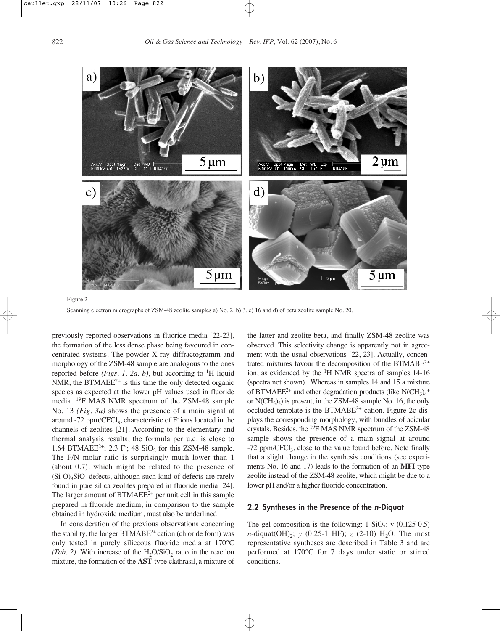

Scanning electron micrographs of ZSM-48 zeolite samples a) No. 2, b) 3, c) 16 and d) of beta zeolite sample No. 20.

previously reported observations in fluoride media [22-23], the formation of the less dense phase being favoured in concentrated systems. The powder X-ray diffractogramm and morphology of the ZSM-48 sample are analogous to the ones reported before *(Figs. 1, 2a, b)*, but according to <sup>1</sup>H liquid NMR, the BTMAEE<sup>2+</sup> is this time the only detected organic species as expected at the lower pH values used in fluoride media. 19F MAS NMR spectrum of the ZSM-48 sample No. 13 *(Fig. 3a)* shows the presence of a main signal at around -72 ppm/CFCl<sub>3</sub>, characteristic of  $F$  ions located in the channels of zeolites [21]. According to the elementary and thermal analysis results, the formula per u.c. is close to 1.64 BTMAEE<sup>2+</sup>; 2.3 F; 48 SiO<sub>2</sub> for this ZSM-48 sample. The F/N molar ratio is surprisingly much lower than 1 (about 0.7), which might be related to the presence of  $(Si-O)_{3}SiO$ <sup>-</sup> defects, although such kind of defects are rarely found in pure silica zeolites prepared in fluoride media [24]. The larger amount of  $BTMAEE^{2+}$  per unit cell in this sample prepared in fluoride medium, in comparison to the sample obtained in hydroxide medium, must also be underlined.

In consideration of the previous observations concerning the stability, the longer  $BTMABE<sup>2+</sup>$  cation (chloride form) was only tested in purely siliceous fluoride media at 170°C *(Tab. 2)*. With increase of the  $H_2O/SiO_2$  ratio in the reaction mixture, the formation of the **AST**-type clathrasil, a mixture of

the latter and zeolite beta, and finally ZSM-48 zeolite was observed. This selectivity change is apparently not in agreement with the usual observations [22, 23]. Actually, concentrated mixtures favour the decomposition of the BTMABE2+ ion, as evidenced by the 1H NMR spectra of samples 14-16 (spectra not shown). Whereas in samples 14 and 15 a mixture of BTMAEE<sup>2+</sup> and other degradation products (like  $N(CH_3)_4^+$ or  $N(CH_3)$ <sup>3</sup> is present, in the ZSM-48 sample No. 16, the only occluded template is the BTMABE<sup>2+</sup> cation. Figure 2c displays the corresponding morphology, with bundles of acicular crystals. Besides, the 19F MAS NMR spectrum of the ZSM-48 sample shows the presence of a main signal at around  $-72$  ppm/CFCl<sub>3</sub>, close to the value found before. Note finally that a slight change in the synthesis conditions (see experiments No. 16 and 17) leads to the formation of an **MFI**-type zeolite instead of the ZSM-48 zeolite, which might be due to a lower pH and/or a higher fluoride concentration.

## **2.2 Syntheses in the Presence of the n-Diquat**

The gel composition is the following:  $1 \text{ SiO}_2$ ; v (0.125-0.5) *n*-diquat(OH)<sub>2</sub>; *y* (0.25-1 HF); *z* (2-10) H<sub>2</sub>O. The most representative syntheses are described in Table 3 and are performed at 170°C for 7 days under static or stirred conditions.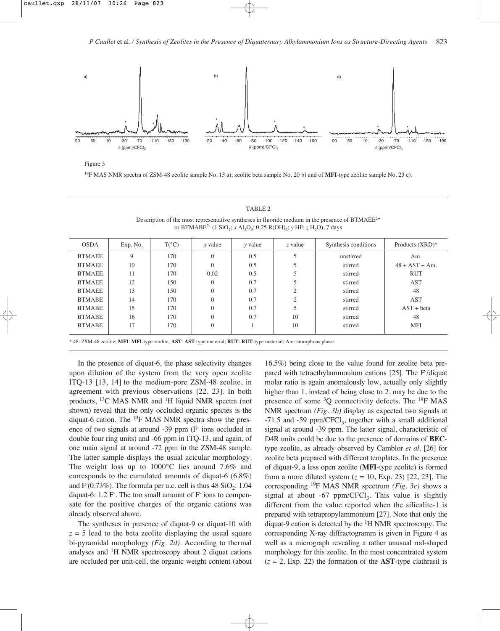

Figure 3

19F MAS NMR spectra of ZSM-48 zeolite sample No. 13 a); zeolite beta sample No. 20 b) and of **MFI**-type zeolite sample No. 23 c).

#### TABLE 2

Description of the most representative syntheses in fluoride medium in the presence of BTMAEE2+ or BTMABE<sup>2+</sup> (1 SiO<sub>2</sub>; *x* Al<sub>2</sub>O<sub>3</sub>; 0.25 R(OH)<sub>2</sub>; *y* HF; *z* H<sub>2</sub>O), 7 days

| <b>OSDA</b>   | Exp. No. | $T(^{\circ}C)$ | $x$ value | y value | z value        | Synthesis conditions | Products $(XRD)^*$ |
|---------------|----------|----------------|-----------|---------|----------------|----------------------|--------------------|
| <b>BTMAEE</b> | 9        | 170            | $\Omega$  | 0.5     | 5              | unstirred            | Am.                |
| <b>BTMAEE</b> | 10       | 170            | $\Omega$  | 0.5     |                | stirred              | $48 + AST + Am$ .  |
| <b>BTMAEE</b> | 11       | 170            | 0.02      | 0.5     |                | stirred              | <b>RUT</b>         |
| <b>BTMAEE</b> | 12       | 150            | $\Omega$  | 0.7     |                | stirred              | <b>AST</b>         |
| <b>BTMAEE</b> | 13       | 150            | $\Omega$  | 0.7     | $\overline{2}$ | stirred              | 48                 |
| <b>BTMABE</b> | 14       | 170            | $\Omega$  | 0.7     | $\overline{c}$ | stirred              | <b>AST</b>         |
| <b>BTMABE</b> | 15       | 170            | $\theta$  | 0.7     |                | stirred              | $AST + beta$       |
| <b>BTMABE</b> | 16       | 170            | $\theta$  | 0.7     | 10             | stirred              | 48                 |
| <b>BTMABE</b> | 17       | 170            | $\theta$  |         | 10             | stirred              | <b>MFI</b>         |
|               |          |                |           |         |                |                      |                    |

\* 48: ZSM-48 zeolite; **MFI**: **MFI**-type zeolite; **AST**: **AST** type material; **RUT**: **RUT**-type material; Am: amorphous phase.

In the presence of diquat-6, the phase selectivity changes upon dilution of the system from the very open zeolite ITQ-13 [13, 14] to the medium-pore ZSM-48 zeolite, in agreement with previous observations [22, 23]. In both products, 13C MAS NMR and 1H liquid NMR spectra (not shown) reveal that the only occluded organic species is the diquat-6 cation. The 19F MAS NMR spectra show the presence of two signals at around -39 ppm (F- ions occluded in double four ring units) and -66 ppm in ITQ-13, and again, of one main signal at around -72 ppm in the ZSM-48 sample. The latter sample displays the usual acicular morphology. The weight loss up to 1000°C lies around 7.6% and corresponds to the cumulated amounts of diquat-6 (6.8%) and  $F(0.73\%)$ . The formula per u.c. cell is thus  $48 \text{ SiO}_2$ : 1.04 diquat-6: 1.2 F. The too small amount of F ions to compensate for the positive charges of the organic cations was already observed above.

The syntheses in presence of diquat-9 or diquat-10 with  $z = 5$  lead to the beta zeolite displaying the usual square bi-pyramidal morphology *(Fig. 2d)*. According to thermal analyses and 1H NMR spectroscopy about 2 diquat cations are occluded per unit-cell, the organic weight content (about 16.5%) being close to the value found for zeolite beta prepared with tetraethylammonium cations [25]. The F- /diquat molar ratio is again anomalously low, actually only slightly higher than 1, instead of being close to 2, may be due to the presence of some  ${}^{3}Q$  connectivity defects. The  ${}^{19}F$  MAS NMR spectrum *(Fig. 3b)* display as expected two signals at  $-71.5$  and  $-59$  ppm/CFCl<sub>3</sub>, together with a small additional signal at around -39 ppm. The latter signal, characteristic of D4R units could be due to the presence of domains of **BEC**type zeolite, as already observed by Camblor *et al.* [26] for zeolite beta prepared with different templates. In the presence of diquat-9, a less open zeolite (**MFI**-type zeolite) is formed from a more diluted system  $(z = 10, \text{Exp. } 23)$  [22, 23]. The corresponding 19F MAS NMR spectrum *(Fig. 3c)* shows a signal at about -67 ppm/CFCl<sub>3</sub>. This value is slightly different from the value reported when the silicalite-1 is prepared with tetrapropylammonium [27]. Note that only the diquat-9 cation is detected by the  ${}^{1}$ H NMR spectroscopy. The corresponding X-ray diffractogramm is given in Figure 4 as well as a micrograph revealing a rather unusual rod-shaped morphology for this zeolite. In the most concentrated system  $(z = 2, Exp. 22)$  the formation of the **AST**-type clathrasil is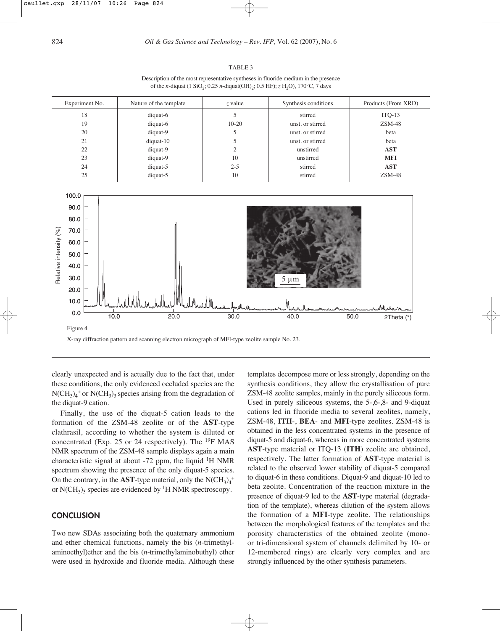#### TABLE 3

Description of the most representative syntheses in fluoride medium in the presence of the *n*-diquat (1 SiO<sub>2</sub>; 0.25 *n*-diquat(OH)<sub>2</sub>; 0.5 HF); *z* H<sub>2</sub>O), 170°C, 7 days

| Experiment No. | Nature of the template | z value | Synthesis conditions | Products (From XRD) |
|----------------|------------------------|---------|----------------------|---------------------|
| 18             | diquat-6               |         | stirred              | $ITQ-13$            |
| 19             | diquat-6               | $10-20$ | unst. or stirred     | $ZSM-48$            |
| 20             | diquat-9               |         | unst. or stirred     | beta                |
| 21             | $diquat-10$            |         | unst. or stirred     | beta                |
| 22             | diquat-9               | ↑       | unstirred            | <b>AST</b>          |
| 23             | diquat-9               | 10      | unstirred            | <b>MFI</b>          |
| 24             | diquat-5               | $2 - 5$ | stirred              | <b>AST</b>          |
| 25             | diquat-5               | 10      | stirred              | $ZSM-48$            |



clearly unexpected and is actually due to the fact that, under these conditions, the only evidenced occluded species are the  $N(CH_3)_4^+$  or  $N(CH_3)_3$  species arising from the degradation of the diquat-9 cation.

Finally, the use of the diquat-5 cation leads to the formation of the ZSM-48 zeolite or of the **AST**-type clathrasil, according to whether the system is diluted or concentrated (Exp. 25 or 24 respectively). The  $^{19}$ F MAS NMR spectrum of the ZSM-48 sample displays again a main characteristic signal at about -72 ppm, the liquid  ${}^{1}H$  NMR spectrum showing the presence of the only diquat-5 species. On the contrary, in the **AST**-type material, only the  $N(CH_3)_4^+$ or  $N(CH_3)$ <sub>3</sub> species are evidenced by <sup>1</sup>H NMR spectroscopy.

# **CONCLUSION**

Two new SDAs associating both the quaternary ammonium and ether chemical functions, namely the bis (*n*-trimethylaminoethyl)ether and the bis (*n*-trimethylaminobuthyl) ether were used in hydroxide and fluoride media. Although these

templates decompose more or less strongly, depending on the synthesis conditions, they allow the crystallisation of pure ZSM-48 zeolite samples, mainly in the purely siliceous form. Used in purely siliceous systems, the 5-,6-,8- and 9-diquat cations led in fluoride media to several zeolites, namely, ZSM-48, **ITH**-, **BEA**- and **MFI**-type zeolites. ZSM-48 is obtained in the less concentrated systems in the presence of diquat-5 and diquat-6, whereas in more concentrated systems **AST**-type material or ITQ-13 (**ITH**) zeolite are obtained, respectively. The latter formation of **AST**-type material is related to the observed lower stability of diquat-5 compared to diquat-6 in these conditions. Diquat-9 and diquat-10 led to beta zeolite. Concentration of the reaction mixture in the presence of diquat-9 led to the **AST**-type material (degradation of the template), whereas dilution of the system allows the formation of a **MFI**-type zeolite. The relationships between the morphological features of the templates and the porosity characteristics of the obtained zeolite (monoor tri-dimensional system of channels delimited by 10- or 12-membered rings) are clearly very complex and are strongly influenced by the other synthesis parameters.